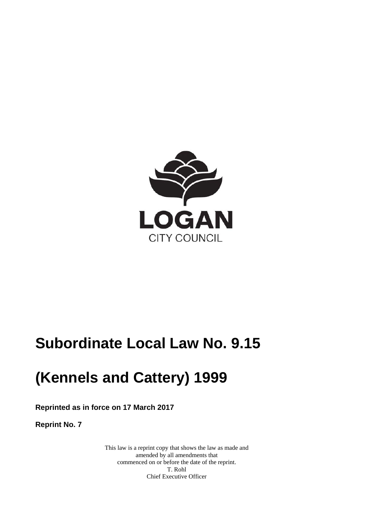

# **Subordinate Local Law No. 9.15**

# **(Kennels and Cattery) 1999**

**Reprinted as in force on 17 March 2017** 

**Reprint No. 7** 

This law is a reprint copy that shows the law as made and amended by all amendments that commenced on or before the date of the reprint. T. Rohl Chief Executive Officer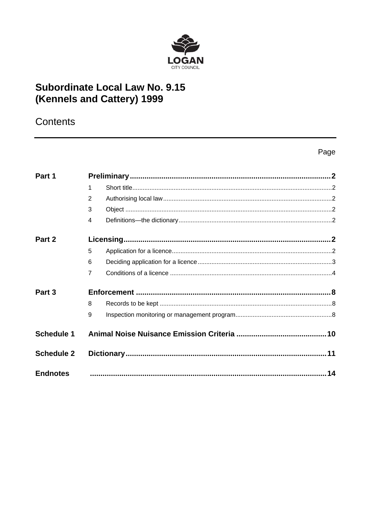

# **Subordinate Local Law No. 9.15** (Kennels and Cattery) 1999

# Contents

### Page

| Part 1            |                |    |
|-------------------|----------------|----|
|                   | 1              |    |
|                   | 2              |    |
|                   | 3              |    |
|                   | $\overline{4}$ |    |
| Part 2            |                |    |
|                   | 5              |    |
|                   | 6              |    |
|                   | $\overline{7}$ |    |
| Part 3            |                |    |
|                   | 8              |    |
|                   | 9              |    |
| <b>Schedule 1</b> |                |    |
| <b>Schedule 2</b> |                |    |
| <b>Endnotes</b>   |                | 14 |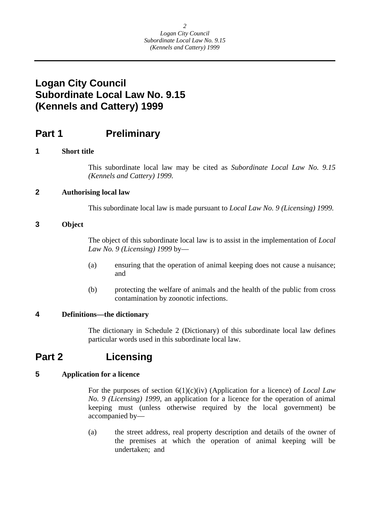### <span id="page-2-0"></span>**Logan City Council Subordinate Local Law No. 9.15 (Kennels and Cattery) 1999**

### **Part 1** Preliminary

### **1 Short title**

This subordinate local law may be cited as *Subordinate Local Law No. 9.15 (Kennels and Cattery) 1999.* 

### **2 Authorising local law**

This subordinate local law is made pursuant to *Local Law No. 9 (Licensing) 1999.* 

### **3 Object**

The object of this subordinate local law is to assist in the implementation of *Local Law No. 9 (Licensing) 1999* by—

- (a) ensuring that the operation of animal keeping does not cause a nuisance; and
- (b) protecting the welfare of animals and the health of the public from cross contamination by zoonotic infections.

#### **4 Definitions—the dictionary**

The dictionary in Schedule 2 (Dictionary) of this subordinate local law defines particular words used in this subordinate local law.

### **Part 2 Licensing**

### **5 Application for a licence**

For the purposes of section 6(1)(c)(iv) (Application for a licence) of *Local Law No. 9 (Licensing) 1999*, an application for a licence for the operation of animal keeping must (unless otherwise required by the local government) be accompanied by—

(a) the street address, real property description and details of the owner of the premises at which the operation of animal keeping will be undertaken; and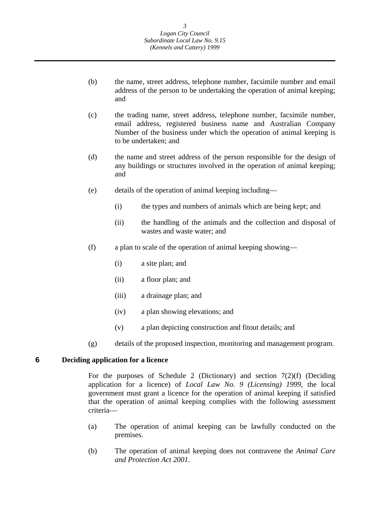- <span id="page-3-0"></span>(b) the name, street address, telephone number, facsimile number and email address of the person to be undertaking the operation of animal keeping; and
- (c) the trading name, street address, telephone number, facsimile number, email address, registered business name and Australian Company Number of the business under which the operation of animal keeping is to be undertaken; and
- (d) the name and street address of the person responsible for the design of any buildings or structures involved in the operation of animal keeping; and
- (e) details of the operation of animal keeping including—
	- (i) the types and numbers of animals which are being kept; and
	- (ii) the handling of the animals and the collection and disposal of wastes and waste water; and
- (f) a plan to scale of the operation of animal keeping showing—
	- (i) a site plan; and
	- (ii) a floor plan; and
	- (iii) a drainage plan; and
	- (iv) a plan showing elevations; and
	- (v) a plan depicting construction and fitout details; and
- (g) details of the proposed inspection, monitoring and management program.

#### **6 Deciding application for a licence**

For the purposes of Schedule 2 (Dictionary) and section  $7(2)(f)$  (Deciding application for a licence) of *Local Law No. 9 (Licensing) 1999*, the local government must grant a licence for the operation of animal keeping if satisfied that the operation of animal keeping complies with the following assessment criteria—

- (a) The operation of animal keeping can be lawfully conducted on the premises.
- (b) The operation of animal keeping does not contravene the *Animal Care and Protection Act 2001*.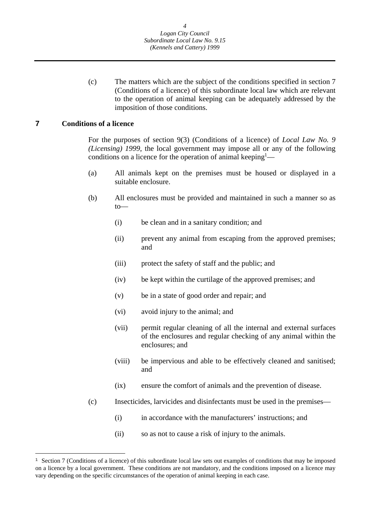<span id="page-4-0"></span>(c) The matters which are the subject of the conditions specified in section 7 (Conditions of a licence) of this subordinate local law which are relevant to the operation of animal keeping can be adequately addressed by the imposition of those conditions.

#### **7 Conditions of a licence**

 $\overline{a}$ 

For the purposes of section 9(3) (Conditions of a licence) of *Local Law No. 9 (Licensing) 1999*, the local government may impose all or any of the following conditions on a licence for the operation of animal keeping<sup>1</sup>—

- (a) All animals kept on the premises must be housed or displayed in a suitable enclosure.
- (b) All enclosures must be provided and maintained in such a manner so as to—
	- (i) be clean and in a sanitary condition; and
	- (ii) prevent any animal from escaping from the approved premises; and
	- (iii) protect the safety of staff and the public; and
	- (iv) be kept within the curtilage of the approved premises; and
	- (v) be in a state of good order and repair; and
	- (vi) avoid injury to the animal; and
	- (vii) permit regular cleaning of all the internal and external surfaces of the enclosures and regular checking of any animal within the enclosures; and
	- (viii) be impervious and able to be effectively cleaned and sanitised; and
	- (ix) ensure the comfort of animals and the prevention of disease.
- (c) Insecticides, larvicides and disinfectants must be used in the premises—
	- (i) in accordance with the manufacturers' instructions; and
	- (ii) so as not to cause a risk of injury to the animals.

<sup>&</sup>lt;sup>1</sup> Section 7 (Conditions of a licence) of this subordinate local law sets out examples of conditions that may be imposed on a licence by a local government. These conditions are not mandatory, and the conditions imposed on a licence may vary depending on the specific circumstances of the operation of animal keeping in each case.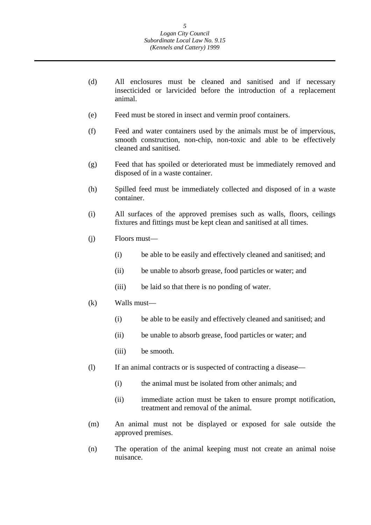- (d) All enclosures must be cleaned and sanitised and if necessary insecticided or larvicided before the introduction of a replacement animal.
- (e) Feed must be stored in insect and vermin proof containers.
- (f) Feed and water containers used by the animals must be of impervious, smooth construction, non-chip, non-toxic and able to be effectively cleaned and sanitised.
- (g) Feed that has spoiled or deteriorated must be immediately removed and disposed of in a waste container.
- (h) Spilled feed must be immediately collected and disposed of in a waste container.
- (i) All surfaces of the approved premises such as walls, floors, ceilings fixtures and fittings must be kept clean and sanitised at all times.
- (j) Floors must—
	- (i) be able to be easily and effectively cleaned and sanitised; and
	- (ii) be unable to absorb grease, food particles or water; and
	- (iii) be laid so that there is no ponding of water.
- (k) Walls must—
	- (i) be able to be easily and effectively cleaned and sanitised; and
	- (ii) be unable to absorb grease, food particles or water; and
	- (iii) be smooth.
- (l) If an animal contracts or is suspected of contracting a disease—
	- (i) the animal must be isolated from other animals; and
	- (ii) immediate action must be taken to ensure prompt notification, treatment and removal of the animal.
- (m) An animal must not be displayed or exposed for sale outside the approved premises.
- (n) The operation of the animal keeping must not create an animal noise nuisance.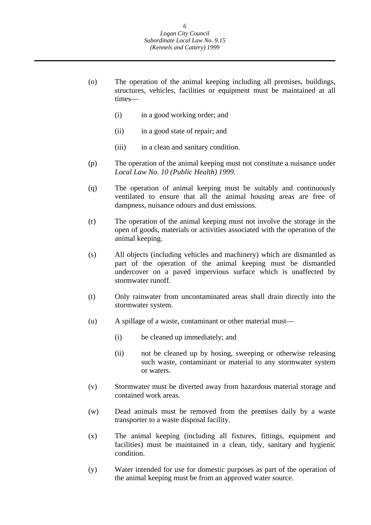- (o) The operation of the animal keeping including all premises, buildings, structures, vehicles, facilities or equipment must be maintained at all times—
	- (i) in a good working order; and
	- (ii) in a good state of repair; and
	- (iii) in a clean and sanitary condition.
- (p) The operation of the animal keeping must not constitute a nuisance under *Local Law No. 10 (Public Health) 1999*.
- (q) The operation of animal keeping must be suitably and continuously ventilated to ensure that all the animal housing areas are free of dampness, nuisance odours and dust emissions.
- (r) The operation of the animal keeping must not involve the storage in the open of goods, materials or activities associated with the operation of the animal keeping.
- (s) All objects (including vehicles and machinery) which are dismantled as part of the operation of the animal keeping must be dismantled undercover on a paved impervious surface which is unaffected by stormwater runoff.
- (t) Only rainwater from uncontaminated areas shall drain directly into the stormwater system.
- (u) A spillage of a waste, contaminant or other material must—
	- (i) be cleaned up immediately; and
	- (ii) not be cleaned up by hosing, sweeping or otherwise releasing such waste, contaminant or material to any stormwater system or waters.
- (v) Stormwater must be diverted away from hazardous material storage and contained work areas.
- (w) Dead animals must be removed from the premises daily by a waste transporter to a waste disposal facility.
- (x) The animal keeping (including all fixtures, fittings, equipment and facilities) must be maintained in a clean, tidy, sanitary and hygienic condition.
- (y) Water intended for use for domestic purposes as part of the operation of the animal keeping must be from an approved water source.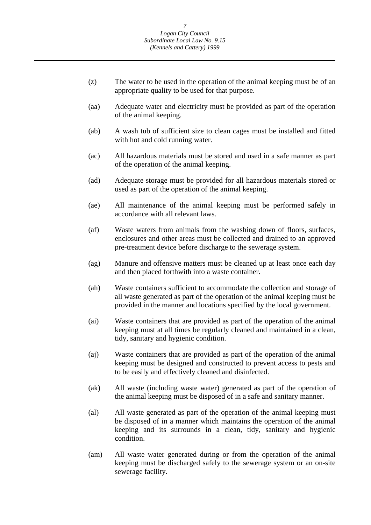- (z) The water to be used in the operation of the animal keeping must be of an appropriate quality to be used for that purpose.
- (aa) Adequate water and electricity must be provided as part of the operation of the animal keeping.
- (ab) A wash tub of sufficient size to clean cages must be installed and fitted with hot and cold running water.
- (ac) All hazardous materials must be stored and used in a safe manner as part of the operation of the animal keeping.
- (ad) Adequate storage must be provided for all hazardous materials stored or used as part of the operation of the animal keeping.
- (ae) All maintenance of the animal keeping must be performed safely in accordance with all relevant laws.
- (af) Waste waters from animals from the washing down of floors, surfaces, enclosures and other areas must be collected and drained to an approved pre-treatment device before discharge to the sewerage system.
- (ag) Manure and offensive matters must be cleaned up at least once each day and then placed forthwith into a waste container.
- (ah) Waste containers sufficient to accommodate the collection and storage of all waste generated as part of the operation of the animal keeping must be provided in the manner and locations specified by the local government.
- (ai) Waste containers that are provided as part of the operation of the animal keeping must at all times be regularly cleaned and maintained in a clean, tidy, sanitary and hygienic condition.
- (aj) Waste containers that are provided as part of the operation of the animal keeping must be designed and constructed to prevent access to pests and to be easily and effectively cleaned and disinfected.
- (ak) All waste (including waste water) generated as part of the operation of the animal keeping must be disposed of in a safe and sanitary manner.
- (al) All waste generated as part of the operation of the animal keeping must be disposed of in a manner which maintains the operation of the animal keeping and its surrounds in a clean, tidy, sanitary and hygienic condition.
- (am) All waste water generated during or from the operation of the animal keeping must be discharged safely to the sewerage system or an on-site sewerage facility.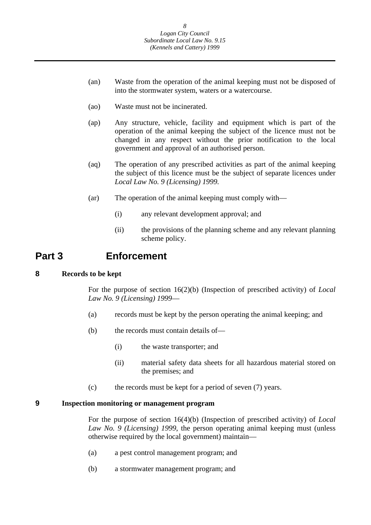- <span id="page-8-0"></span>(an) Waste from the operation of the animal keeping must not be disposed of into the stormwater system, waters or a watercourse.
- (ao) Waste must not be incinerated.
- (ap) Any structure, vehicle, facility and equipment which is part of the operation of the animal keeping the subject of the licence must not be changed in any respect without the prior notification to the local government and approval of an authorised person.
- (aq) The operation of any prescribed activities as part of the animal keeping the subject of this licence must be the subject of separate licences under *Local Law No. 9 (Licensing) 1999.*
- (ar) The operation of the animal keeping must comply with—
	- (i) any relevant development approval; and
	- (ii) the provisions of the planning scheme and any relevant planning scheme policy.

### **Part 3 Enforcement**

#### **8 Records to be kept**

For the purpose of section 16(2)(b) (Inspection of prescribed activity) of *Local Law No. 9 (Licensing) 1999*—

- (a) records must be kept by the person operating the animal keeping; and
- (b) the records must contain details of—
	- (i) the waste transporter; and
	- (ii) material safety data sheets for all hazardous material stored on the premises; and
- (c) the records must be kept for a period of seven (7) years.

#### **9 Inspection monitoring or management program**

For the purpose of section 16(4)(b) (Inspection of prescribed activity) of *Local Law No. 9 (Licensing) 1999*, the person operating animal keeping must (unless otherwise required by the local government) maintain—

- (a) a pest control management program; and
- (b) a stormwater management program; and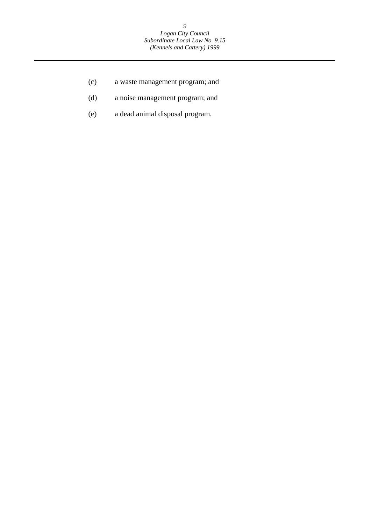- (c) a waste management program; and
- (d) a noise management program; and
- (e) a dead animal disposal program.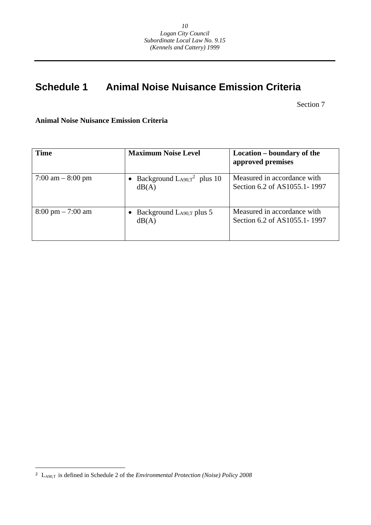## **Schedule 1 Animal Noise Nuisance Emission Criteria**

Section 7

**Animal Noise Nuisance Emission Criteria** 

| <b>Time</b>                         | <b>Maximum Noise Level</b>                | Location – boundary of the<br>approved premises             |
|-------------------------------------|-------------------------------------------|-------------------------------------------------------------|
| 7:00 am $-8:00$ pm                  | Background $L_{A90,T}^2$ plus 10<br>dB(A) | Measured in accordance with<br>Section 6.2 of AS1055.1-1997 |
| $8:00 \text{ pm} - 7:00 \text{ am}$ | • Background $L_{A90,T}$ plus 5<br>dB(A)  | Measured in accordance with<br>Section 6.2 of AS1055.1-1997 |

 $\overline{a}$ 

<sup>2</sup> LA90,T is defined in Schedule 2 of the *Environmental Protection (Noise) Policy 2008*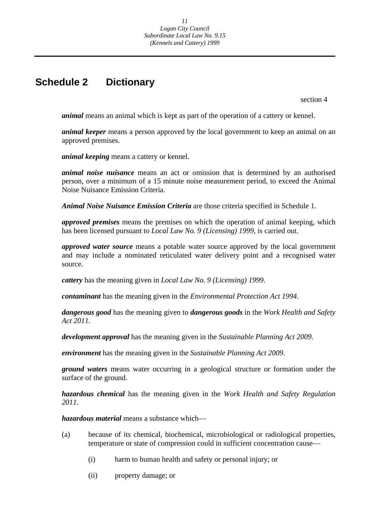### <span id="page-11-0"></span>**Schedule 2 Dictionary**

section 4

*animal* means an animal which is kept as part of the operation of a cattery or kennel.

*animal keeper* means a person approved by the local government to keep an animal on an approved premises.

*animal keeping* means a cattery or kennel.

*animal noise nuisance* means an act or omission that is determined by an authorised person, over a minimum of a 15 minute noise measurement period, to exceed the Animal Noise Nuisance Emission Criteria.

*Animal Noise Nuisance Emission Criteria* are those criteria specified in Schedule 1.

*approved premises* means the premises on which the operation of animal keeping, which has been licensed pursuant to *Local Law No. 9 (Licensing) 1999*, is carried out.

*approved water source* means a potable water source approved by the local government and may include a nominated reticulated water delivery point and a recognised water source.

*cattery* has the meaning given in *Local Law No. 9 (Licensing) 1999*.

*contaminant* has the meaning given in the *Environmental Protection Act 1994*.

*dangerous good* has the meaning given to *dangerous goods* in the *Work Health and Safety Act 2011*.

*development approval* has the meaning given in the *Sustainable Planning Act 2009*.

*environment* has the meaning given in the *Sustainable Planning Act 2009*.

*ground waters* means water occurring in a geological structure or formation under the surface of the ground.

*hazardous chemical* has the meaning given in the *Work Health and Safety Regulation 2011*.

*hazardous material* means a substance which—

- (a) because of its chemical, biochemical, microbiological or radiological properties, temperature or state of compression could in sufficient concentration cause—
	- (i) harm to human health and safety or personal injury; or
	- (ii) property damage; or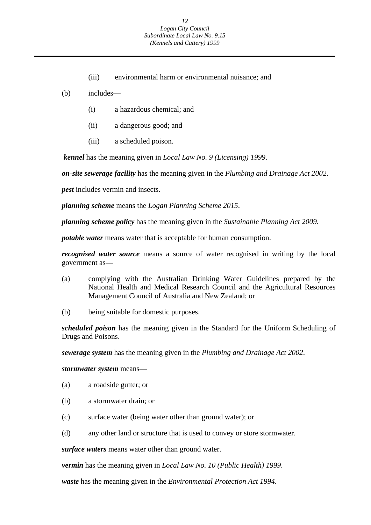- (iii) environmental harm or environmental nuisance; and
- (b) includes—
	- (i) a hazardous chemical; and
	- (ii) a dangerous good; and
	- (iii) a scheduled poison.

*kennel* has the meaning given in *Local Law No. 9 (Licensing) 1999*.

*on-site sewerage facility* has the meaning given in the *Plumbing and Drainage Act 2002*.

*pest* includes vermin and insects.

*planning scheme* means the *Logan Planning Scheme 2015*.

*planning scheme policy* has the meaning given in the *Sustainable Planning Act 2009*.

*potable water* means water that is acceptable for human consumption.

*recognised water source* means a source of water recognised in writing by the local government as—

- (a) complying with the Australian Drinking Water Guidelines prepared by the National Health and Medical Research Council and the Agricultural Resources Management Council of Australia and New Zealand; or
- (b) being suitable for domestic purposes.

*scheduled poison* has the meaning given in the Standard for the Uniform Scheduling of Drugs and Poisons.

*sewerage system* has the meaning given in the *Plumbing and Drainage Act 2002*.

#### *stormwater system* means—

- (a) a roadside gutter; or
- (b) a stormwater drain; or
- (c) surface water (being water other than ground water); or
- (d) any other land or structure that is used to convey or store stormwater.

*surface waters* means water other than ground water.

*vermin* has the meaning given in *Local Law No. 10 (Public Health) 1999*.

*waste* has the meaning given in the *Environmental Protection Act 1994*.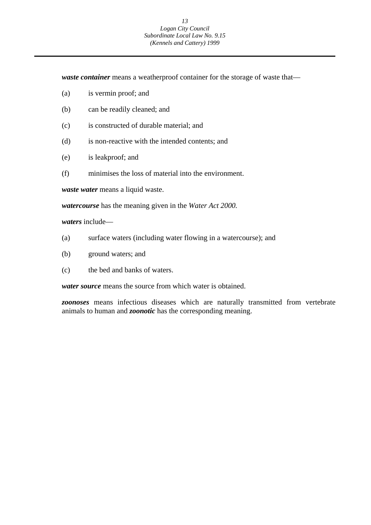#### *13 Logan City Council Subordinate Local Law No. 9.15 (Kennels and Cattery) 1999*

*waste container* means a weatherproof container for the storage of waste that—

- (a) is vermin proof; and
- (b) can be readily cleaned; and
- (c) is constructed of durable material; and
- (d) is non-reactive with the intended contents; and
- (e) is leakproof; and
- (f) minimises the loss of material into the environment.

*waste water* means a liquid waste.

*watercourse* has the meaning given in the *Water Act 2000.* 

*waters* include—

- (a) surface waters (including water flowing in a watercourse); and
- (b) ground waters; and
- (c) the bed and banks of waters.

*water source* means the source from which water is obtained.

*zoonoses* means infectious diseases which are naturally transmitted from vertebrate animals to human and *zoonotic* has the corresponding meaning.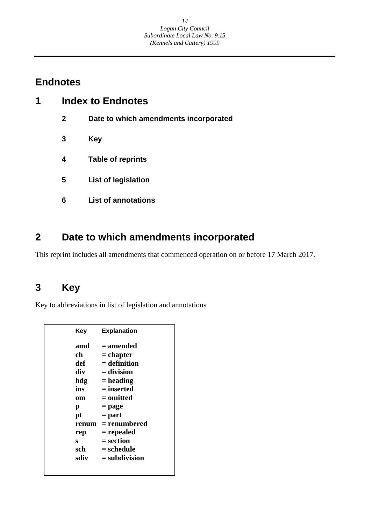### **Endnotes**

| 1 | <b>Index to Endnotes</b> |                                       |  |
|---|--------------------------|---------------------------------------|--|
|   | $\mathbf{2}$             | Date to which amendments incorporated |  |
|   | 3                        | <b>Key</b>                            |  |
|   | 4                        | <b>Table of reprints</b>              |  |
|   | 5                        | <b>List of legislation</b>            |  |
|   | 6                        | <b>List of annotations</b>            |  |

# **2 Date to which amendments incorporated**

This reprint includes all amendments that commenced operation on or before 17 March 2017.

## **3 Key**

Key to abbreviations in list of legislation and annotations

| Kev   | <b>Explanation</b> |
|-------|--------------------|
| amd   | = amended          |
| ch    | $=$ chapter        |
| def   | $=$ definition     |
| div   | = division         |
| hdg   | $=$ heading        |
| ins   | $=$ inserted       |
| om    | = omitted          |
| р     | = page             |
| pt    | $=$ part           |
| renum | = renumbered       |
| rep   | = repealed         |
| S     | = section          |
| sch   | = schedule         |
| sdiv  | $=$ subdivision    |
|       |                    |
|       |                    |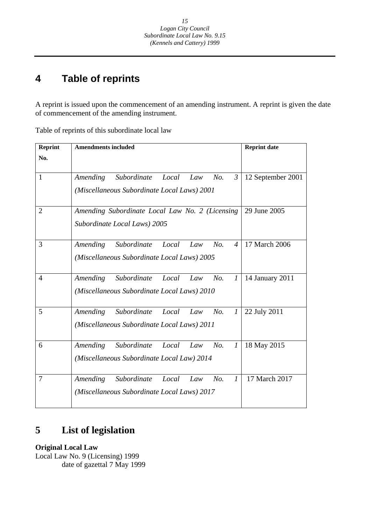#### **4 Table of reprints**

A reprint is issued upon the commencement of an amending instrument. A reprint is given the date of commencement of the amending instrument.

| <b>Reprint</b> | <b>Amendments included</b>                                         | <b>Reprint date</b> |
|----------------|--------------------------------------------------------------------|---------------------|
| No.            |                                                                    |                     |
|                |                                                                    |                     |
| $\mathbf{1}$   | Amending<br>Subordinate<br>No.<br>Local<br>Law<br>$\mathfrak{Z}$   | 12 September 2001   |
|                | (Miscellaneous Subordinate Local Laws) 2001                        |                     |
|                |                                                                    |                     |
| $\overline{2}$ | Amending Subordinate Local Law No. 2 (Licensing                    | 29 June 2005        |
|                | Subordinate Local Laws) 2005                                       |                     |
|                |                                                                    |                     |
| 3              | Amending<br>Subordinate<br>Local<br>No.<br>Law<br>$\overline{4}$   | 17 March 2006       |
|                | (Miscellaneous Subordinate Local Laws) 2005                        |                     |
|                |                                                                    |                     |
| $\overline{4}$ | Amending<br>Subordinate<br>No.<br>Local<br>Law<br>$\boldsymbol{l}$ | 14 January 2011     |
|                | (Miscellaneous Subordinate Local Laws) 2010                        |                     |
|                |                                                                    |                     |
| 5              | Amending<br>Subordinate<br>No.<br>$\mathcal{I}$<br>Local<br>Law    | 22 July 2011        |
|                | (Miscellaneous Subordinate Local Laws) 2011                        |                     |
|                |                                                                    |                     |
| 6              | Subordinate<br>No.<br>Amending<br>Local<br>$\mathcal{I}$<br>Law    | 18 May 2015         |
|                | (Miscellaneous Subordinate Local Law) 2014                         |                     |
|                |                                                                    |                     |
| 7              | Subordinate<br>No.<br>$\mathcal{I}$<br>Amending<br>Local<br>Law    | 17 March 2017       |
|                | (Miscellaneous Subordinate Local Laws) 2017                        |                     |
|                |                                                                    |                     |

Table of reprints of this subordinate local law

#### **List of legislation 5**

**Original Local Law**  Local Law No. 9 (Licensing) 1999 date of gazettal 7 May 1999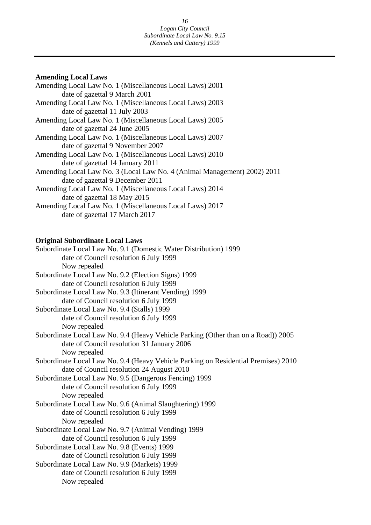### **Amending Local Laws**

| Amending Local Law No. 1 (Miscellaneous Local Laws) 2001                 |
|--------------------------------------------------------------------------|
| date of gazettal 9 March 2001                                            |
| Amending Local Law No. 1 (Miscellaneous Local Laws) 2003                 |
| date of gazettal 11 July 2003                                            |
| Amending Local Law No. 1 (Miscellaneous Local Laws) 2005                 |
| date of gazettal 24 June 2005                                            |
| Amending Local Law No. 1 (Miscellaneous Local Laws) 2007                 |
| date of gazettal 9 November 2007                                         |
| Amending Local Law No. 1 (Miscellaneous Local Laws) 2010                 |
| date of gazettal 14 January 2011                                         |
| Amending Local Law No. 3 (Local Law No. 4 (Animal Management) 2002) 2011 |
| date of gazettal 9 December 2011                                         |
| Amending Local Law No. 1 (Miscellaneous Local Laws) 2014                 |
| date of gazettal 18 May 2015                                             |
| Amending Local Law No. 1 (Miscellaneous Local Laws) 2017                 |
| date of gazettal 17 March 2017                                           |

### **Original Subordinate Local Laws**

| date of Council resolution 6 July 1999<br>Now repealed<br>date of Council resolution 6 July 1999<br>date of Council resolution 6 July 1999<br>date of Council resolution 6 July 1999<br>Now repealed<br>date of Council resolution 31 January 2006<br>Now repealed<br>date of Council resolution 24 August 2010<br>date of Council resolution 6 July 1999<br>Now repealed<br>date of Council resolution 6 July 1999<br>Now repealed<br>date of Council resolution 6 July 1999<br>date of Council resolution 6 July 1999<br>date of Council resolution 6 July 1999 | Subordinate Local Law No. 9.1 (Domestic Water Distribution) 1999                   |
|-------------------------------------------------------------------------------------------------------------------------------------------------------------------------------------------------------------------------------------------------------------------------------------------------------------------------------------------------------------------------------------------------------------------------------------------------------------------------------------------------------------------------------------------------------------------|------------------------------------------------------------------------------------|
|                                                                                                                                                                                                                                                                                                                                                                                                                                                                                                                                                                   |                                                                                    |
|                                                                                                                                                                                                                                                                                                                                                                                                                                                                                                                                                                   |                                                                                    |
|                                                                                                                                                                                                                                                                                                                                                                                                                                                                                                                                                                   | Subordinate Local Law No. 9.2 (Election Signs) 1999                                |
|                                                                                                                                                                                                                                                                                                                                                                                                                                                                                                                                                                   |                                                                                    |
|                                                                                                                                                                                                                                                                                                                                                                                                                                                                                                                                                                   | Subordinate Local Law No. 9.3 (Itinerant Vending) 1999                             |
|                                                                                                                                                                                                                                                                                                                                                                                                                                                                                                                                                                   |                                                                                    |
|                                                                                                                                                                                                                                                                                                                                                                                                                                                                                                                                                                   | Subordinate Local Law No. 9.4 (Stalls) 1999                                        |
|                                                                                                                                                                                                                                                                                                                                                                                                                                                                                                                                                                   |                                                                                    |
|                                                                                                                                                                                                                                                                                                                                                                                                                                                                                                                                                                   |                                                                                    |
|                                                                                                                                                                                                                                                                                                                                                                                                                                                                                                                                                                   | Subordinate Local Law No. 9.4 (Heavy Vehicle Parking (Other than on a Road)) 2005  |
|                                                                                                                                                                                                                                                                                                                                                                                                                                                                                                                                                                   |                                                                                    |
|                                                                                                                                                                                                                                                                                                                                                                                                                                                                                                                                                                   |                                                                                    |
|                                                                                                                                                                                                                                                                                                                                                                                                                                                                                                                                                                   | Subordinate Local Law No. 9.4 (Heavy Vehicle Parking on Residential Premises) 2010 |
|                                                                                                                                                                                                                                                                                                                                                                                                                                                                                                                                                                   |                                                                                    |
|                                                                                                                                                                                                                                                                                                                                                                                                                                                                                                                                                                   | Subordinate Local Law No. 9.5 (Dangerous Fencing) 1999                             |
|                                                                                                                                                                                                                                                                                                                                                                                                                                                                                                                                                                   |                                                                                    |
|                                                                                                                                                                                                                                                                                                                                                                                                                                                                                                                                                                   |                                                                                    |
|                                                                                                                                                                                                                                                                                                                                                                                                                                                                                                                                                                   | Subordinate Local Law No. 9.6 (Animal Slaughtering) 1999                           |
|                                                                                                                                                                                                                                                                                                                                                                                                                                                                                                                                                                   |                                                                                    |
|                                                                                                                                                                                                                                                                                                                                                                                                                                                                                                                                                                   |                                                                                    |
|                                                                                                                                                                                                                                                                                                                                                                                                                                                                                                                                                                   | Subordinate Local Law No. 9.7 (Animal Vending) 1999                                |
|                                                                                                                                                                                                                                                                                                                                                                                                                                                                                                                                                                   |                                                                                    |
|                                                                                                                                                                                                                                                                                                                                                                                                                                                                                                                                                                   | Subordinate Local Law No. 9.8 (Events) 1999                                        |
|                                                                                                                                                                                                                                                                                                                                                                                                                                                                                                                                                                   |                                                                                    |
|                                                                                                                                                                                                                                                                                                                                                                                                                                                                                                                                                                   | Subordinate Local Law No. 9.9 (Markets) 1999                                       |
|                                                                                                                                                                                                                                                                                                                                                                                                                                                                                                                                                                   |                                                                                    |
|                                                                                                                                                                                                                                                                                                                                                                                                                                                                                                                                                                   | Now repealed                                                                       |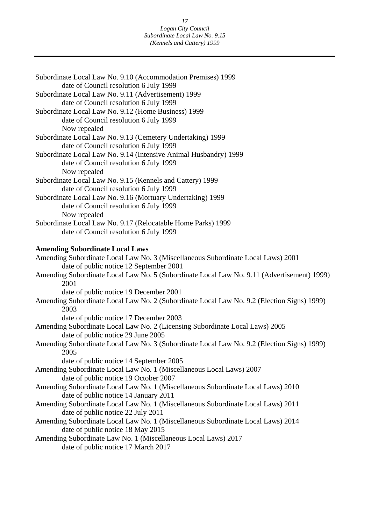| Subordinate Local Law No. 9.10 (Accommodation Premises) 1999                               |
|--------------------------------------------------------------------------------------------|
| date of Council resolution 6 July 1999                                                     |
| Subordinate Local Law No. 9.11 (Advertisement) 1999                                        |
| date of Council resolution 6 July 1999                                                     |
| Subordinate Local Law No. 9.12 (Home Business) 1999                                        |
| date of Council resolution 6 July 1999                                                     |
| Now repealed                                                                               |
| Subordinate Local Law No. 9.13 (Cemetery Undertaking) 1999                                 |
| date of Council resolution 6 July 1999                                                     |
| Subordinate Local Law No. 9.14 (Intensive Animal Husbandry) 1999                           |
| date of Council resolution 6 July 1999                                                     |
| Now repealed                                                                               |
| Subordinate Local Law No. 9.15 (Kennels and Cattery) 1999                                  |
| date of Council resolution 6 July 1999                                                     |
| Subordinate Local Law No. 9.16 (Mortuary Undertaking) 1999                                 |
| date of Council resolution 6 July 1999                                                     |
| Now repealed                                                                               |
| Subordinate Local Law No. 9.17 (Relocatable Home Parks) 1999                               |
| date of Council resolution 6 July 1999                                                     |
| <b>Amending Subordinate Local Laws</b>                                                     |
| Amending Subordinate Local Law No. 3 (Miscellaneous Subordinate Local Laws) 2001           |
| date of public notice 12 September 2001                                                    |
| Amending Subordinate Local Law No. 5 (Subordinate Local Law No. 9.11 (Advertisement) 1999) |
| 2001                                                                                       |
| date of public notice 19 December 2001                                                     |
| Amending Subordinate Local Law No. 2 (Subordinate Local Law No. 9.2 (Election Signs) 1999) |
| 2003                                                                                       |
| date of public notice 17 December 2003                                                     |
| Amending Subordinate Local Law No. 2 (Licensing Subordinate Local Laws) 2005               |
| date of public notice 29 June 2005                                                         |
| Amending Subordinate Local Law No. 3 (Subordinate Local Law No. 9.2 (Election Signs) 1999) |
| 2005                                                                                       |
| date of public notice 14 September 2005                                                    |
| Amending Subordinate Local Law No. 1 (Miscellaneous Local Laws) 2007                       |
| date of public notice 19 October 2007                                                      |
| Amending Subordinate Local Law No. 1 (Miscellaneous Subordinate Local Laws) 2010           |
| date of public notice 14 January 2011                                                      |
| Amending Subordinate Local Law No. 1 (Miscellaneous Subordinate Local Laws) 2011           |
| date of public notice 22 July 2011                                                         |
| Amending Subordinate Local Law No. 1 (Miscellaneous Subordinate Local Laws) 2014           |
| date of public notice 18 May 2015                                                          |
| Amending Subordinate Law No. 1 (Miscellaneous Local Laws) 2017                             |

date of public notice 17 March 2017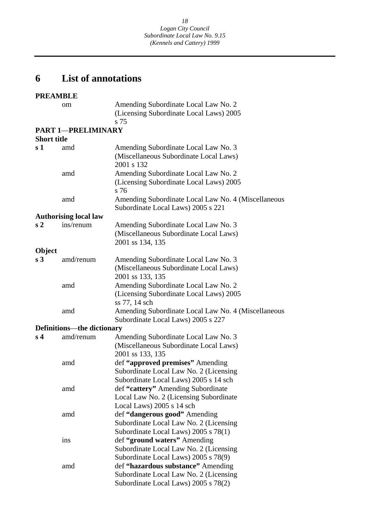#### **6 List of annotations**

#### **PREAMBLE**

 $s<sub>2</sub>$ om Amending Subordinate Local Law No. 2 (Licensing Subordinate Local Laws) 2005 s 75 **PART 1**—**PRELIMINARY Short title**  s 1 amd Amending Subordinate Local Law No. 3 (Miscellaneous Subordinate Local Laws) 2001 s 132 amd Amending Subordinate Local Law No. 2 (Licensing Subordinate Local Laws) 2005 s 76 amd Amending Subordinate Local Law No. 4 (Miscellaneous Subordinate Local Laws) 2005 s 221 **Authorising local law**  ins/renum Amending Subordinate Local Law No. 3 (Miscellaneous Subordinate Local Laws) 2001 ss 134, 135 **Object s 3** amd/renum Amending Subordinate Local Law No. 3 (Miscellaneous Subordinate Local Laws) 2001 ss 133, 135 amd Amending Subordinate Local Law No. 2 (Licensing Subordinate Local Laws) 2005 ss 77, 14 sch amd Amending Subordinate Local Law No. 4 (Miscellaneous Subordinate Local Laws) 2005 s 227 **Definitions**—**the dictionary s 4** amd/renum Amending Subordinate Local Law No. 3 (Miscellaneous Subordinate Local Laws) 2001 ss 133, 135 amd def **"approved premises"** Amending Subordinate Local Law No. 2 (Licensing Subordinate Local Laws) 2005 s 14 sch amd def **"cattery"** Amending Subordinate Local Law No. 2 (Licensing Subordinate Local Laws) 2005 s 14 sch amd def **"dangerous good"** Amending Subordinate Local Law No. 2 (Licensing Subordinate Local Laws) 2005 s 78(1) ins def **"ground waters"** Amending Subordinate Local Law No. 2 (Licensing Subordinate Local Laws) 2005 s 78(9) amd def **"hazardous substance"** Amending Subordinate Local Law No. 2 (Licensing Subordinate Local Laws) 2005 s 78(2)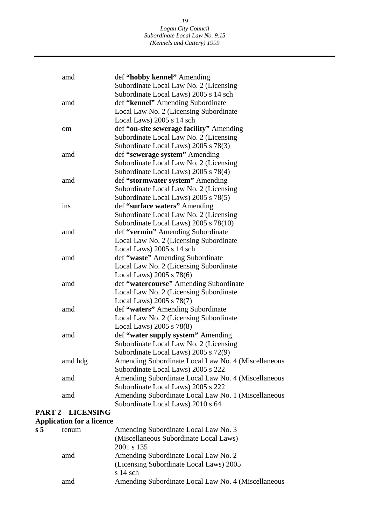#### *19 Logan City Council Subordinate Local Law No. 9.15 (Kennels and Cattery) 1999*

| Subordinate Local Law No. 2 (Licensing<br>Subordinate Local Laws) 2005 s 14 sch<br>def "kennel" Amending Subordinate<br>amd<br>Local Law No. 2 (Licensing Subordinate<br>Local Laws) 2005 s 14 sch<br>def "on-site sewerage facility" Amending<br>om<br>Subordinate Local Law No. 2 (Licensing<br>Subordinate Local Laws) 2005 s 78(3)<br>def "sewerage system" Amending<br>amd<br>Subordinate Local Law No. 2 (Licensing<br>Subordinate Local Laws) 2005 s 78(4)<br>def "stormwater system" Amending<br>amd<br>Subordinate Local Law No. 2 (Licensing<br>Subordinate Local Laws) 2005 s 78(5)<br>def "surface waters" Amending<br>ins<br>Subordinate Local Law No. 2 (Licensing<br>Subordinate Local Laws) 2005 s 78(10)<br>def "vermin" Amending Subordinate<br>amd<br>Local Law No. 2 (Licensing Subordinate<br>Local Laws) 2005 s 14 sch<br>def "waste" Amending Subordinate<br>amd<br>Local Law No. 2 (Licensing Subordinate<br>Local Laws) 2005 s 78(6)<br>def "watercourse" Amending Subordinate<br>amd<br>Local Law No. 2 (Licensing Subordinate<br>Local Laws) 2005 s 78(7)<br>def "waters" Amending Subordinate<br>amd<br>Local Law No. 2 (Licensing Subordinate<br>Local Laws) 2005 s 78(8)<br>def "water supply system" Amending<br>amd<br>Subordinate Local Law No. 2 (Licensing<br>Subordinate Local Laws) 2005 s 72(9)<br>Amending Subordinate Local Law No. 4 (Miscellaneous<br>amd hdg<br>Subordinate Local Laws) 2005 s 222<br>Amending Subordinate Local Law No. 4 (Miscellaneous<br>amd<br>Subordinate Local Laws) 2005 s 222<br>Amending Subordinate Local Law No. 1 (Miscellaneous<br>amd<br>Subordinate Local Laws) 2010 s 64 | amd | def "hobby kennel" Amending |
|------------------------------------------------------------------------------------------------------------------------------------------------------------------------------------------------------------------------------------------------------------------------------------------------------------------------------------------------------------------------------------------------------------------------------------------------------------------------------------------------------------------------------------------------------------------------------------------------------------------------------------------------------------------------------------------------------------------------------------------------------------------------------------------------------------------------------------------------------------------------------------------------------------------------------------------------------------------------------------------------------------------------------------------------------------------------------------------------------------------------------------------------------------------------------------------------------------------------------------------------------------------------------------------------------------------------------------------------------------------------------------------------------------------------------------------------------------------------------------------------------------------------------------------------------------------------------------------------------------------------------------------------------|-----|-----------------------------|
|                                                                                                                                                                                                                                                                                                                                                                                                                                                                                                                                                                                                                                                                                                                                                                                                                                                                                                                                                                                                                                                                                                                                                                                                                                                                                                                                                                                                                                                                                                                                                                                                                                                      |     |                             |
|                                                                                                                                                                                                                                                                                                                                                                                                                                                                                                                                                                                                                                                                                                                                                                                                                                                                                                                                                                                                                                                                                                                                                                                                                                                                                                                                                                                                                                                                                                                                                                                                                                                      |     |                             |
|                                                                                                                                                                                                                                                                                                                                                                                                                                                                                                                                                                                                                                                                                                                                                                                                                                                                                                                                                                                                                                                                                                                                                                                                                                                                                                                                                                                                                                                                                                                                                                                                                                                      |     |                             |
|                                                                                                                                                                                                                                                                                                                                                                                                                                                                                                                                                                                                                                                                                                                                                                                                                                                                                                                                                                                                                                                                                                                                                                                                                                                                                                                                                                                                                                                                                                                                                                                                                                                      |     |                             |
|                                                                                                                                                                                                                                                                                                                                                                                                                                                                                                                                                                                                                                                                                                                                                                                                                                                                                                                                                                                                                                                                                                                                                                                                                                                                                                                                                                                                                                                                                                                                                                                                                                                      |     |                             |
|                                                                                                                                                                                                                                                                                                                                                                                                                                                                                                                                                                                                                                                                                                                                                                                                                                                                                                                                                                                                                                                                                                                                                                                                                                                                                                                                                                                                                                                                                                                                                                                                                                                      |     |                             |
|                                                                                                                                                                                                                                                                                                                                                                                                                                                                                                                                                                                                                                                                                                                                                                                                                                                                                                                                                                                                                                                                                                                                                                                                                                                                                                                                                                                                                                                                                                                                                                                                                                                      |     |                             |
|                                                                                                                                                                                                                                                                                                                                                                                                                                                                                                                                                                                                                                                                                                                                                                                                                                                                                                                                                                                                                                                                                                                                                                                                                                                                                                                                                                                                                                                                                                                                                                                                                                                      |     |                             |
|                                                                                                                                                                                                                                                                                                                                                                                                                                                                                                                                                                                                                                                                                                                                                                                                                                                                                                                                                                                                                                                                                                                                                                                                                                                                                                                                                                                                                                                                                                                                                                                                                                                      |     |                             |
|                                                                                                                                                                                                                                                                                                                                                                                                                                                                                                                                                                                                                                                                                                                                                                                                                                                                                                                                                                                                                                                                                                                                                                                                                                                                                                                                                                                                                                                                                                                                                                                                                                                      |     |                             |
|                                                                                                                                                                                                                                                                                                                                                                                                                                                                                                                                                                                                                                                                                                                                                                                                                                                                                                                                                                                                                                                                                                                                                                                                                                                                                                                                                                                                                                                                                                                                                                                                                                                      |     |                             |
|                                                                                                                                                                                                                                                                                                                                                                                                                                                                                                                                                                                                                                                                                                                                                                                                                                                                                                                                                                                                                                                                                                                                                                                                                                                                                                                                                                                                                                                                                                                                                                                                                                                      |     |                             |
|                                                                                                                                                                                                                                                                                                                                                                                                                                                                                                                                                                                                                                                                                                                                                                                                                                                                                                                                                                                                                                                                                                                                                                                                                                                                                                                                                                                                                                                                                                                                                                                                                                                      |     |                             |
|                                                                                                                                                                                                                                                                                                                                                                                                                                                                                                                                                                                                                                                                                                                                                                                                                                                                                                                                                                                                                                                                                                                                                                                                                                                                                                                                                                                                                                                                                                                                                                                                                                                      |     |                             |
|                                                                                                                                                                                                                                                                                                                                                                                                                                                                                                                                                                                                                                                                                                                                                                                                                                                                                                                                                                                                                                                                                                                                                                                                                                                                                                                                                                                                                                                                                                                                                                                                                                                      |     |                             |
|                                                                                                                                                                                                                                                                                                                                                                                                                                                                                                                                                                                                                                                                                                                                                                                                                                                                                                                                                                                                                                                                                                                                                                                                                                                                                                                                                                                                                                                                                                                                                                                                                                                      |     |                             |
|                                                                                                                                                                                                                                                                                                                                                                                                                                                                                                                                                                                                                                                                                                                                                                                                                                                                                                                                                                                                                                                                                                                                                                                                                                                                                                                                                                                                                                                                                                                                                                                                                                                      |     |                             |
|                                                                                                                                                                                                                                                                                                                                                                                                                                                                                                                                                                                                                                                                                                                                                                                                                                                                                                                                                                                                                                                                                                                                                                                                                                                                                                                                                                                                                                                                                                                                                                                                                                                      |     |                             |
|                                                                                                                                                                                                                                                                                                                                                                                                                                                                                                                                                                                                                                                                                                                                                                                                                                                                                                                                                                                                                                                                                                                                                                                                                                                                                                                                                                                                                                                                                                                                                                                                                                                      |     |                             |
|                                                                                                                                                                                                                                                                                                                                                                                                                                                                                                                                                                                                                                                                                                                                                                                                                                                                                                                                                                                                                                                                                                                                                                                                                                                                                                                                                                                                                                                                                                                                                                                                                                                      |     |                             |
|                                                                                                                                                                                                                                                                                                                                                                                                                                                                                                                                                                                                                                                                                                                                                                                                                                                                                                                                                                                                                                                                                                                                                                                                                                                                                                                                                                                                                                                                                                                                                                                                                                                      |     |                             |
|                                                                                                                                                                                                                                                                                                                                                                                                                                                                                                                                                                                                                                                                                                                                                                                                                                                                                                                                                                                                                                                                                                                                                                                                                                                                                                                                                                                                                                                                                                                                                                                                                                                      |     |                             |
|                                                                                                                                                                                                                                                                                                                                                                                                                                                                                                                                                                                                                                                                                                                                                                                                                                                                                                                                                                                                                                                                                                                                                                                                                                                                                                                                                                                                                                                                                                                                                                                                                                                      |     |                             |
|                                                                                                                                                                                                                                                                                                                                                                                                                                                                                                                                                                                                                                                                                                                                                                                                                                                                                                                                                                                                                                                                                                                                                                                                                                                                                                                                                                                                                                                                                                                                                                                                                                                      |     |                             |
|                                                                                                                                                                                                                                                                                                                                                                                                                                                                                                                                                                                                                                                                                                                                                                                                                                                                                                                                                                                                                                                                                                                                                                                                                                                                                                                                                                                                                                                                                                                                                                                                                                                      |     |                             |
|                                                                                                                                                                                                                                                                                                                                                                                                                                                                                                                                                                                                                                                                                                                                                                                                                                                                                                                                                                                                                                                                                                                                                                                                                                                                                                                                                                                                                                                                                                                                                                                                                                                      |     |                             |
|                                                                                                                                                                                                                                                                                                                                                                                                                                                                                                                                                                                                                                                                                                                                                                                                                                                                                                                                                                                                                                                                                                                                                                                                                                                                                                                                                                                                                                                                                                                                                                                                                                                      |     |                             |
|                                                                                                                                                                                                                                                                                                                                                                                                                                                                                                                                                                                                                                                                                                                                                                                                                                                                                                                                                                                                                                                                                                                                                                                                                                                                                                                                                                                                                                                                                                                                                                                                                                                      |     |                             |
|                                                                                                                                                                                                                                                                                                                                                                                                                                                                                                                                                                                                                                                                                                                                                                                                                                                                                                                                                                                                                                                                                                                                                                                                                                                                                                                                                                                                                                                                                                                                                                                                                                                      |     |                             |
|                                                                                                                                                                                                                                                                                                                                                                                                                                                                                                                                                                                                                                                                                                                                                                                                                                                                                                                                                                                                                                                                                                                                                                                                                                                                                                                                                                                                                                                                                                                                                                                                                                                      |     |                             |
|                                                                                                                                                                                                                                                                                                                                                                                                                                                                                                                                                                                                                                                                                                                                                                                                                                                                                                                                                                                                                                                                                                                                                                                                                                                                                                                                                                                                                                                                                                                                                                                                                                                      |     |                             |
|                                                                                                                                                                                                                                                                                                                                                                                                                                                                                                                                                                                                                                                                                                                                                                                                                                                                                                                                                                                                                                                                                                                                                                                                                                                                                                                                                                                                                                                                                                                                                                                                                                                      |     |                             |
|                                                                                                                                                                                                                                                                                                                                                                                                                                                                                                                                                                                                                                                                                                                                                                                                                                                                                                                                                                                                                                                                                                                                                                                                                                                                                                                                                                                                                                                                                                                                                                                                                                                      |     |                             |
|                                                                                                                                                                                                                                                                                                                                                                                                                                                                                                                                                                                                                                                                                                                                                                                                                                                                                                                                                                                                                                                                                                                                                                                                                                                                                                                                                                                                                                                                                                                                                                                                                                                      |     |                             |
|                                                                                                                                                                                                                                                                                                                                                                                                                                                                                                                                                                                                                                                                                                                                                                                                                                                                                                                                                                                                                                                                                                                                                                                                                                                                                                                                                                                                                                                                                                                                                                                                                                                      |     |                             |
|                                                                                                                                                                                                                                                                                                                                                                                                                                                                                                                                                                                                                                                                                                                                                                                                                                                                                                                                                                                                                                                                                                                                                                                                                                                                                                                                                                                                                                                                                                                                                                                                                                                      |     |                             |
|                                                                                                                                                                                                                                                                                                                                                                                                                                                                                                                                                                                                                                                                                                                                                                                                                                                                                                                                                                                                                                                                                                                                                                                                                                                                                                                                                                                                                                                                                                                                                                                                                                                      |     |                             |
|                                                                                                                                                                                                                                                                                                                                                                                                                                                                                                                                                                                                                                                                                                                                                                                                                                                                                                                                                                                                                                                                                                                                                                                                                                                                                                                                                                                                                                                                                                                                                                                                                                                      |     |                             |

### **PART 2**—**LICENSING Application for a licence**

| s <sub>5</sub> | renum | Amending Subordinate Local Law No. 3                |
|----------------|-------|-----------------------------------------------------|
|                |       | (Miscellaneous Subordinate Local Laws)              |
|                |       | 2001 s 135                                          |
|                | amd   | Amending Subordinate Local Law No. 2                |
|                |       | (Licensing Subordinate Local Laws) 2005             |
|                |       | $s$ 14 sch                                          |
|                | amd   | Amending Subordinate Local Law No. 4 (Miscellaneous |
|                |       |                                                     |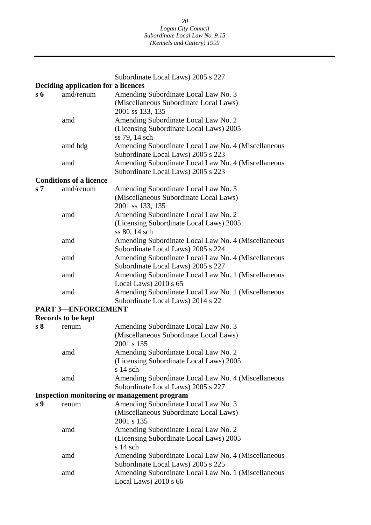Subordinate Local Laws) 2005 s 227 **Deciding application for a licences s 6** amd/renum Amending Subordinate Local Law No. 3 (Miscellaneous Subordinate Local Laws) 2001 ss 133, 135 amd Amending Subordinate Local Law No. 2 (Licensing Subordinate Local Laws) 2005 ss 79, 14 sch amd hdg Amending Subordinate Local Law No. 4 (Miscellaneous Subordinate Local Laws) 2005 s 223 amd Amending Subordinate Local Law No. 4 (Miscellaneous Subordinate Local Laws) 2005 s 223 **Conditions of a licence s 7** amd/renum Amending Subordinate Local Law No. 3 (Miscellaneous Subordinate Local Laws) 2001 ss 133, 135 amd Amending Subordinate Local Law No. 2 (Licensing Subordinate Local Laws) 2005 ss 80, 14 sch amd Amending Subordinate Local Law No. 4 (Miscellaneous Subordinate Local Laws) 2005 s 224 amd Amending Subordinate Local Law No. 4 (Miscellaneous Subordinate Local Laws) 2005 s 227 amd Amending Subordinate Local Law No. 1 (Miscellaneous Local Laws) 2010 s 65 amd Amending Subordinate Local Law No. 1 (Miscellaneous Subordinate Local Laws) 2014 s 22 **PART 3**—**ENFORCEMENT Records to be kept s 8** renum Amending Subordinate Local Law No. 3 (Miscellaneous Subordinate Local Laws) 2001 s 135 amd Amending Subordinate Local Law No. 2 (Licensing Subordinate Local Laws) 2005 s 14 sch amd Amending Subordinate Local Law No. 4 (Miscellaneous Subordinate Local Laws) 2005 s 227 **Inspection monitoring or management program s 9** renum Amending Subordinate Local Law No. 3 (Miscellaneous Subordinate Local Laws) 2001 s 135 amd Amending Subordinate Local Law No. 2 (Licensing Subordinate Local Laws) 2005 s 14 sch amd Amending Subordinate Local Law No. 4 (Miscellaneous Subordinate Local Laws) 2005 s 225 amd Amending Subordinate Local Law No. 1 (Miscellaneous Local Laws) 2010 s 66